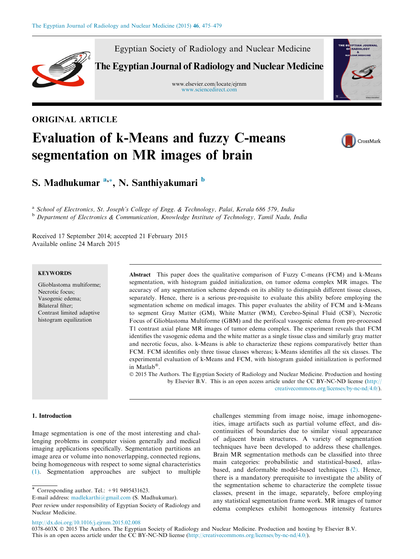

Egyptian Society of Radiology and Nuclear Medicine

The Egyptian Journal of Radiology and Nuclear Medicine

www.elsevier.com/locate/ejrnm [www.sciencedirect.com](http://www.sciencedirect.com/science/journal/0378603X)



# ORIGINAL ARTICLE

# Evaluation of k-Means and fuzzy C-means segmentation on MR images of brain



S. Madhukumar <sup>a,</sup>\*, N. Santhiyakumari <sup>b</sup>

<sup>a</sup> School of Electronics, St. Joseph's College of Engg. & Technology, Palai, Kerala 686 579, India <sup>b</sup> Department of Electronics & Communication, Knowledge Institute of Technology, Tamil Nadu, India

Received 17 September 2014; accepted 21 February 2015 Available online 24 March 2015

# **KEYWORDS**

Glioblastoma multiforme; Necrotic focus; Vasogenic edema; Bilateral filter; Contrast limited adaptive histogram equilization

Abstract This paper does the qualitative comparison of Fuzzy C-means (FCM) and k-Means segmentation, with histogram guided initialization, on tumor edema complex MR images. The accuracy of any segmentation scheme depends on its ability to distinguish different tissue classes, separately. Hence, there is a serious pre-requisite to evaluate this ability before employing the segmentation scheme on medical images. This paper evaluates the ability of FCM and k-Means to segment Gray Matter (GM), White Matter (WM), Cerebro-Spinal Fluid (CSF), Necrotic Focus of Glioblastoma Multiforme (GBM) and the perifocal vasogenic edema from pre-processed T1 contrast axial plane MR images of tumor edema complex. The experiment reveals that FCM identifies the vasogenic edema and the white matter as a single tissue class and similarly gray matter and necrotic focus, also. k-Means is able to characterize these regions comparatively better than FCM. FCM identifies only three tissue classes whereas; k-Means identifies all the six classes. The experimental evaluation of k-Means and FCM, with histogram guided initialization is performed in Matlab®.

 2015 The Authors. The Egyptian Society of Radiology and Nuclear Medicine. Production and hosting by Elsevier B.V. This is an open access article under the CC BY-NC-ND license [\(http://](http://creativecommons.org/licenses/by-nc-nd/4.0/) [creativecommons.org/licenses/by-nc-nd/4.0/\)](http://creativecommons.org/licenses/by-nc-nd/4.0/).

#### 1. Introduction

Image segmentation is one of the most interesting and challenging problems in computer vision generally and medical imaging applications specifically. Segmentation partitions an image area or volume into nonoverlapping, connected regions, being homogeneous with respect to some signal characteristics [\(1\).](#page-4-0) Segmentation approaches are subject to multiple

Peer review under responsibility of Egyptian Society of Radiology and Nuclear Medicine.

challenges stemming from image noise, image inhomogeneities, image artifacts such as partial volume effect, and discontinuities of boundaries due to similar visual appearance of adjacent brain structures. A variety of segmentation techniques have been developed to address these challenges. Brain MR segmentation methods can be classified into three main categories: probabilistic and statistical-based, atlasbased, and deformable model-based techniques [\(2\).](#page-4-0) Hence, there is a mandatory prerequisite to investigate the ability of the segmentation scheme to characterize the complete tissue classes, present in the image, separately, before employing any statistical segmentation frame work. MR images of tumor edema complexes exhibit homogenous intensity features

<http://dx.doi.org/10.1016/j.ejrnm.2015.02.008>

<sup>\*</sup> Corresponding author. Tel.:  $+91$  9495431623.

E-mail address: [madlekarthi@gmail.com](mailto:madlekarthi@gmail.com) (S. Madhukumar).

<sup>0378-603</sup>X © 2015 The Authors. The Egyptian Society of Radiology and Nuclear Medicine. Production and hosting by Elsevier B.V. This is an open access article under the  $\tilde{CC}$  BY-NC-ND license [\(http://creativecommons.org/licenses/by-nc-nd/4.0/](http://creativecommons.org/licenses/by-nc-nd/4.0/)).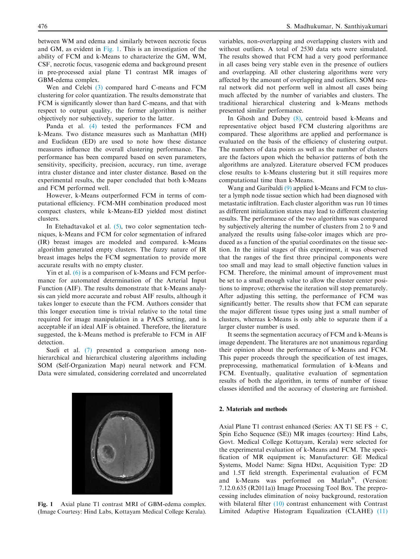<span id="page-1-0"></span>between WM and edema and similarly between necrotic focus and GM, as evident in Fig. 1. This is an investigation of the ability of FCM and k-Means to characterize the GM, WM, CSF, necrotic focus, vasogenic edema and background present in pre-processed axial plane T1 contrast MR images of GBM-edema complex.

Wen and Celebi [\(3\)](#page-4-0) compared hard C-means and FCM clustering for color quantization. The results demonstrate that FCM is significantly slower than hard C-means, and that with respect to output quality, the former algorithm is neither objectively nor subjectively, superior to the latter.

Panda et al. [\(4\)](#page-4-0) tested the performances FCM and k-Means. Two distance measures such as Manhattan (MH) and Euclidean (ED) are used to note how these distance measures influence the overall clustering performance. The performance has been compared based on seven parameters, sensitivity, specificity, precision, accuracy, run time, average intra cluster distance and inter cluster distance. Based on the experimental results, the paper concluded that both k-Means and FCM performed well.

However, k-Means outperformed FCM in terms of computational efficiency. FCM-MH combination produced most compact clusters, while k-Means-ED yielded most distinct clusters.

In Etehadtavakol et al. [\(5\),](#page-4-0) two color segmentation techniques, k-Means and FCM for color segmentation of infrared (IR) breast images are modeled and compared. k-Means algorithm generated empty clusters. The fuzzy nature of IR breast images helps the FCM segmentation to provide more accurate results with no empty cluster.

Yin et al. [\(6\)](#page-4-0) is a comparison of k-Means and FCM performance for automated determination of the Arterial Input Function (AIF). The results demonstrate that k-Means analysis can yield more accurate and robust AIF results, although it takes longer to execute than the FCM. Authors consider that this longer execution time is trivial relative to the total time required for image manipulation in a PACS setting, and is acceptable if an ideal AIF is obtained. Therefore, the literature suggested, the k-Means method is preferable to FCM in AIF detection.

Sueli et al. [\(7\)](#page-4-0) presented a comparison among nonhierarchical and hierarchical clustering algorithms including SOM (Self-Organization Map) neural network and FCM. Data were simulated, considering correlated and uncorrelated

Fig. 1 Axial plane T1 contrast MRI of GBM-edema complex. (Image Courtesy: Hind Labs, Kottayam Medical College Kerala).

variables, non-overlapping and overlapping clusters with and without outliers. A total of 2530 data sets were simulated. The results showed that FCM had a very good performance in all cases being very stable even in the presence of outliers and overlapping. All other clustering algorithms were very affected by the amount of overlapping and outliers. SOM neural network did not perform well in almost all cases being much affected by the number of variables and clusters. The traditional hierarchical clustering and k-Means methods presented similar performance.

In Ghosh and Dubey [\(8\),](#page-4-0) centroid based k-Means and representative object based FCM clustering algorithms are compared. These algorithms are applied and performance is evaluated on the basis of the efficiency of clustering output. The numbers of data points as well as the number of clusters are the factors upon which the behavior patterns of both the algorithms are analyzed. Literature observed FCM produces close results to k-Means clustering but it still requires more computational time than k-Means.

Wang and Garibaldi [\(9\)](#page-4-0) applied k-Means and FCM to cluster a lymph node tissue section which had been diagnosed with metastatic infiltration. Each cluster algorithm was run 10 times as different initialization states may lead to different clustering results. The performance of the two algorithms was compared by subjectively altering the number of clusters from 2 to 9 and analyzed the results using false-color images which are produced as a function of the spatial coordinates on the tissue section. In the initial stages of this experiment, it was observed that the ranges of the first three principal components were too small and may lead to small objective function values in FCM. Therefore, the minimal amount of improvement must be set to a small enough value to allow the cluster center positions to improve; otherwise the iteration will stop prematurely. After adjusting this setting, the performance of FCM was significantly better. The results show that FCM can separate the major different tissue types using just a small number of clusters, whereas k-Means is only able to separate them if a larger cluster number is used.

It seems the segmentation accuracy of FCM and k-Means is image dependent. The literatures are not unanimous regarding their opinion about the performance of k-Means and FCM. This paper proceeds through the specification of test images, preprocessing, mathematical formulation of k-Means and FCM. Eventually, qualitative evaluation of segmentation results of both the algorithm, in terms of number of tissue classes identified and the accuracy of clustering are furnished.

#### 2. Materials and methods

Axial Plane T1 contrast enhanced (Series: AX T1 SE FS + C, Spin Echo Sequence (SE)) MR images (courtesy: Hind Labs, Govt. Medical College Kottayam, Kerala) were selected for the experimental evaluation of k-Means and FCM. The specification of MR equipment is; Manufacturer: GE Medical Systems, Model Name: Signa HDxt, Acquisition Type: 2D and 1.5T field strength. Experimental evaluation of FCM and k-Means was performed on Matlab®, (Version: 7.12.0.635 (R2011a)) Image Processing Tool Box. The preprocessing includes elimination of noisy background, restoration with bilateral filter [\(10\)](#page-4-0) contrast enhancement with Contrast Limited Adaptive Histogram Equalization (CLAHE) [\(11\)](#page-4-0)

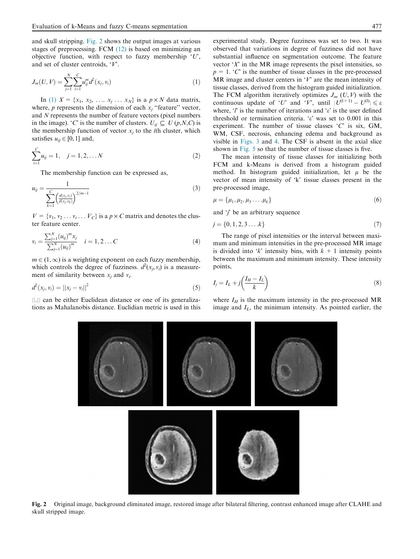<span id="page-2-0"></span>and skull stripping. Fig. 2 shows the output images at various stages of preprocessing. FCM [\(12\)](#page-4-0) is based on minimizing an objective function, with respect to fuzzy membership  $'U'$ , and set of cluster centroids, 'V'.

$$
J_m(U, V) = \sum_{j=1}^{N} \sum_{i=1}^{C} u_{ij}^m d^2(x_j, v_i)
$$
 (1)

In (1)  $X = \{x_1, x_2, \ldots, x_i, \ldots, x_N\}$  is a  $p \times N$  data matrix, where,  $p$  represents the dimension of each  $x_i$  "feature" vector, and N represents the number of feature vectors (pixel numbers in the image). 'C' is the number of clusters.  $U_{ij} \subseteq U(p,N,C)$  is the membership function of vector  $x_i$  to the *i*th cluster, which satisfies  $u_{ij} \in [0, 1]$  and,

$$
\sum_{i=1}^{C} u_{ij} = 1, \quad j = 1, 2, \dots N
$$
 (2)

The membership function can be expressed as,

$$
u_{ij} = \frac{1}{\sum_{k=1}^{C} \left(\frac{d(x_j, y_i)}{d(x_j, y_k)}\right)^{2/m-1}}
$$
(3)

 $V = \{v_1, v_2 \dots v_i \dots V_C\}$  is a  $p \times C$  matrix and denotes the cluster feature center.

$$
v_i = \frac{\sum_{j=1}^{N} (u_{ij})^m x_j}{\sum_{j=1}^{N} (u_{ij})^m} \quad i = 1, 2 \dots C
$$
 (4)

 $m \in (1,\infty)$  is a weighting exponent on each fuzzy membership, which controls the degree of fuzziness.  $d^2(x_j, v_i)$  is a measurement of similarity between  $x_i$  and  $v_i$ .

$$
d^{2}(x_{j}, y_{i}) = ||x_{j} - y_{i}||^{2}
$$
\n(5)

||.|| can be either Euclidean distance or one of its generalizations as Mahalanobis distance. Euclidian metric is used in this experimental study. Degree fuzziness was set to two. It was observed that variations in degree of fuzziness did not have substantial influence on segmentation outcome. The feature vector  $X'$  in the MR image represents the pixel intensities, so  $p = 1$ . 'C' is the number of tissue classes in the pre-processed MR image and cluster centers in  $V$  are the mean intensity of tissue classes, derived from the histogram guided initialization. The FCM algorithm iteratively optimizes  $J_m$  (U, V) with the continuous update of 'U' and 'V', until  $|U^{(l+1)} - U^{(l)}| \le \varepsilon$ where, 'l' is the number of iterations and ' $\varepsilon$ ' is the user defined threshold or termination criteria. 'e' was set to 0.001 in this experiment. The number of tissue classes  $^{\circ}C^{\circ}$  is six, GM, WM, CSF, necrosis, enhancing edema and background as visible in [Figs. 3](#page-3-0) and [4.](#page-3-0) The CSF is absent in the axial slice shown in [Fig. 5](#page-3-0) so that the number of tissue classes is five.

The mean intensity of tissue classes for initializing both FCM and k-Means is derived from a histogram guided method. In histogram guided initialization, let  $\mu$  be the vector of mean intensity of 'k' tissue classes present in the pre-processed image,

$$
\mu = {\mu_1, \mu_2, \mu_3 \dots, \mu_k}
$$
\n
$$
(6)
$$

and 'j' be an arbitrary sequence

$$
j = \{0, 1, 2, 3 \dots k\}
$$
 (7)

The range of pixel intensities or the interval between maximum and minimum intensities in the pre-processed MR image is divided into 'k' intensity bins, with  $k + 1$  intensity points between the maximum and minimum intensity. These intensity points,

$$
I_j = I_L + j \left( \frac{I_H - I_L}{k} \right) \tag{8}
$$

where  $I_H$  is the maximum intensity in the pre-processed MR image and  $I_L$ , the minimum intensity. As pointed earlier, the



Fig. 2 Original image, background eliminated image, restored image after bilateral filtering, contrast enhanced image after CLAHE and skull stripped image.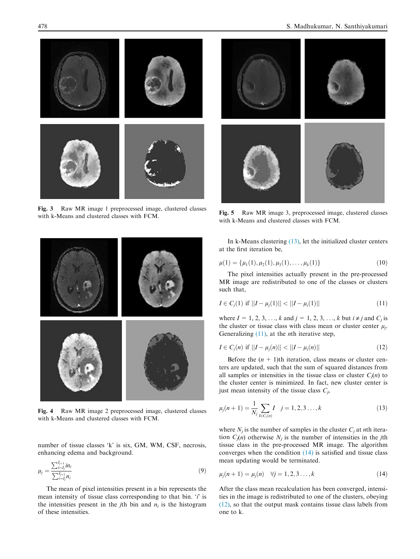<span id="page-3-0"></span>



Fig. 3 Raw MR image 1 preprocessed image, clustered classes with k-Means and clustered classes with FCM.



Fig. 4 Raw MR image 2 preprocessed image, clustered classes with k-Means and clustered classes with FCM.

number of tissue classes 'k' is six, GM, WM, CSF, necrosis, enhancing edema and background.

$$
\mu_j = \frac{\sum_{i=1}^{I_{j+1}} i n_i}{\sum_{i=1}^{I_{j+1}} n_i}
$$
\n(9)

The mean of pixel intensities present in a bin represents the mean intensity of tissue class corresponding to that bin.  $i$  is the intensities present in the *j*th bin and  $n_i$  is the histogram of these intensities.



Fig. 5 Raw MR image 3, preprocessed image, clustered classes with k-Means and clustered classes with FCM.

In k-Means clustering [\(13\)](#page-4-0), let the initialized cluster centers at the first iteration be,

$$
\mu(1) = {\mu_1(1), \mu_2(1), \mu_3(1), \dots, \mu_k(1)}
$$
\n(10)

The pixel intensities actually present in the pre-processed MR image are redistributed to one of the classes or clusters such that,

$$
I \in C_j(1) \text{ if } ||I - \mu_j(1)|| < ||I - \mu_i(1)|| \tag{11}
$$

where  $I = 1, 2, 3, ..., k$  and  $j = 1, 2, 3, ..., k$  but  $i \neq j$  and  $C_i$  is the cluster or tissue class with class mean or cluster center  $\mu_i$ . Generalizing (11), at the *n*th iterative step,

$$
I \in C_j(n) \text{ if } ||I - \mu_j(n)|| < ||I - \mu_i(n)|| \tag{12}
$$

Before the  $(n + 1)$ th iteration, class means or cluster centers are updated, such that the sum of squared distances from all samples or intensities in the tissue class or cluster  $C_i(n)$  to the cluster center is minimized. In fact, new cluster center is just mean intensity of the tissue class  $C_i$ ,

$$
\mu_j(n+1) = \frac{1}{N_j} \sum_{I \in C_j(n)} I \quad j = 1, 2, 3 \dots, k \tag{13}
$$

where  $N_i$  is the number of samples in the cluster  $C_i$  at nth iteration  $C_i(n)$  otherwise  $N_i$  is the number of intensities in the *j*th tissue class in the pre-processed MR image. The algorithm converges when the condition  $(14)$  is satisfied and tissue class mean updating would be terminated.

$$
\mu_j(n+1) = \mu_j(n) \quad \forall j = 1, 2, 3 \dots, k \tag{14}
$$

After the class mean recalculation has been converged, intensities in the image is redistributed to one of the clusters, obeying (12), so that the output mask contains tissue class labels from one to k.